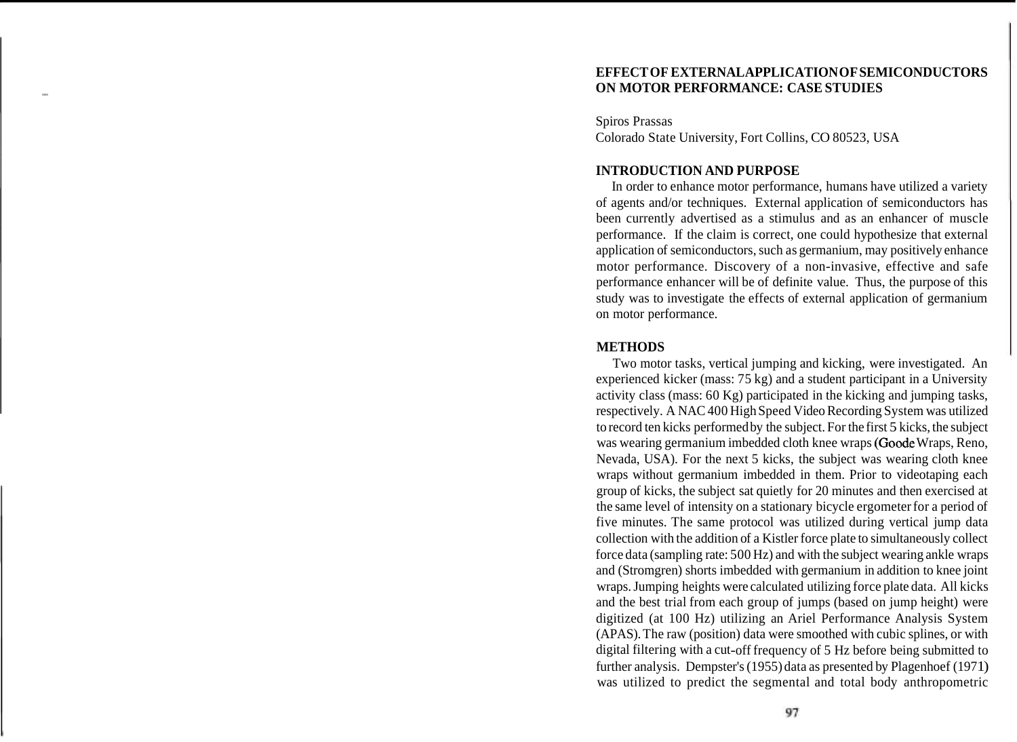#### **EFFECT OF EXTERNAL APPLICATION OF SEMICONDUCTORS**  - **ON MOTOR PERFORMANCE: CASE STUDIES**

Spiros Prassas Colorado State University, Fort Collins, CO 80523, USA

## **INTRODUCTION AND PURPOSE**

In order to enhance motor performance, humans have utilized a variety of agents and/or techniques. External application of semiconductors has been currently advertised as a stimulus and as an enhancer of muscle performance. If the claim is correct, one could hypothesize that external application of semiconductors, such as germanium, may positively enhance motor performance. Discovery of a non-invasive, effective and safe performance enhancer will be of definite value. Thus, the purpose of this study was to investigate the effects of external application of germanium on motor performance.

### **METHODS**

Two motor tasks, vertical jumping and kicking, were investigated. An experienced kicker (mass: 75 kg) and a student participant in a University activity class (mass: 60 Kg) participated in the kicking and jumping tasks, respectively. A NAC 400 High Speed Video Recording System was utilized to record ten kicks performed by the subject. For the first 5 kicks, the subject was wearing germanium imbedded cloth knee wraps (Goode Wraps, Reno, Nevada, USA). For the next 5 kicks, the subject was wearing cloth knee wraps without germanium imbedded in them. Prior to videotaping each group of kicks, the subject sat quietly for 20 minutes and then exercised at the same level of intensity on a stationary bicycle ergometer for a period of five minutes. The same protocol was utilized during vertical jump data collection with the addition of a Kistler force plate to simultaneously collect force data (sampling rate: 500 Hz) and with the subject wearing ankle wraps and (Stromgren) shorts imbedded with germanium in addition to knee joint wraps. Jumping heights were calculated utilizing force plate data. All kicks and the best trial from each group of jumps (based on jump height) were digitized (at 100 Hz) utilizing an Ariel Performance Analysis System (APAS). The raw (position) data were smoothed with cubic splines, or with digital filtering with a cut-off frequency of 5 Hz before being submitted to further analysis. Dempster's (1955) data as presented by Plagenhoef (1971) was utilized to predict the segmental and total body anthropometric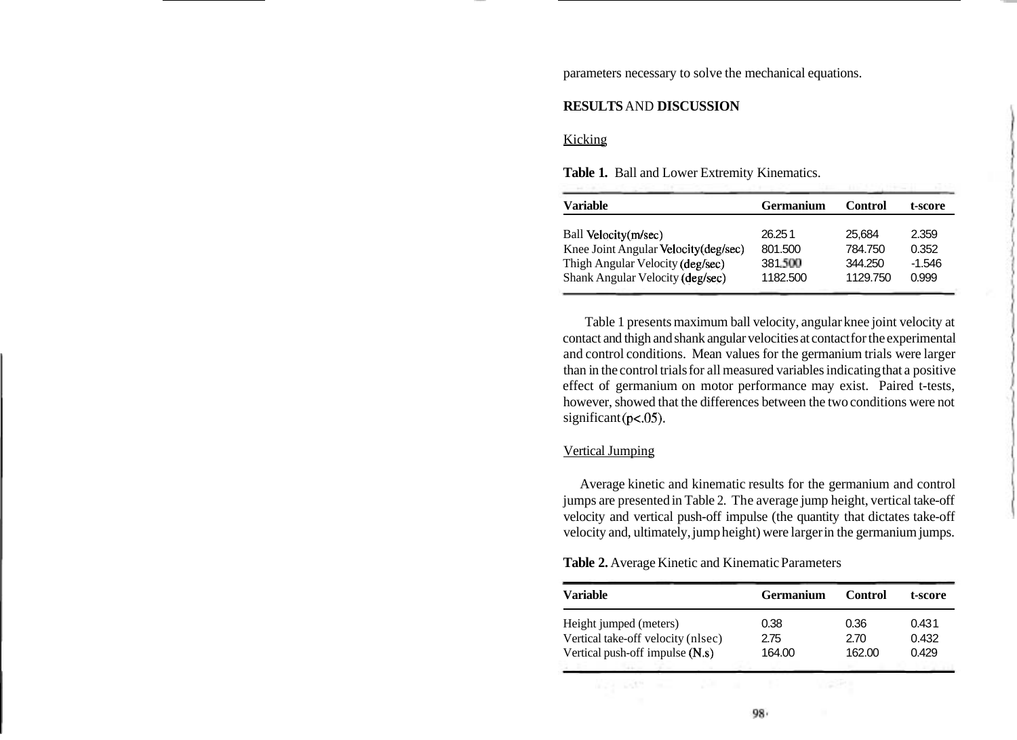parameters necessary to solve the mechanical equations.

# **RESULTS** AND **DISCUSSION**

## Kicking

| <b>Variable</b>                       | <b>Germanium</b> | Control  | t-score |
|---------------------------------------|------------------|----------|---------|
| Ball Velocity(m/sec)                  | 26.251           | 25.684   | 2.359   |
| Knee Joint Angular Velocity (deg/sec) | 801.500          | 784.750  | 0.352   |
| Thigh Angular Velocity (deg/sec)      | 381.500          | 344.250  | -1.546  |
| Shank Angular Velocity (deg/sec)      | 1182.500         | 1129.750 | 0.999   |

**Table 1.** Ball and Lower Extremity Kinematics.

Table 1 presents maximum ball velocity, angular knee joint velocity at contact and thigh and shank angular velocities at contact for the experimental and control conditions. Mean values for the germanium trials were larger than in the control trials for all measured variables indicating that a positive effect of germanium on motor performance may exist. Paired t-tests, however, showed that the differences between the two conditions were not  $significant (p<05)$ .

## Vertical Jumping

Average kinetic and kinematic results for the germanium and control jumps are presented in Table 2. The average jump height, vertical take-off velocity and vertical push-off impulse (the quantity that dictates take-off velocity and, ultimately, jump height) were larger in the germanium jumps.

|  |  | Table 2. Average Kinetic and Kinematic Parameters |  |
|--|--|---------------------------------------------------|--|
|--|--|---------------------------------------------------|--|

| Variable                           | <b>Germanium</b> | Control | t-score |
|------------------------------------|------------------|---------|---------|
| Height jumped (meters)             | 0.38             | 0.36    | 0.431   |
| Vertical take-off velocity (nlsec) | 2.75             | 2.70    | 0.432   |
| Vertical push-off impulse (N.s)    | 164.00           | 162.00  | 0.429   |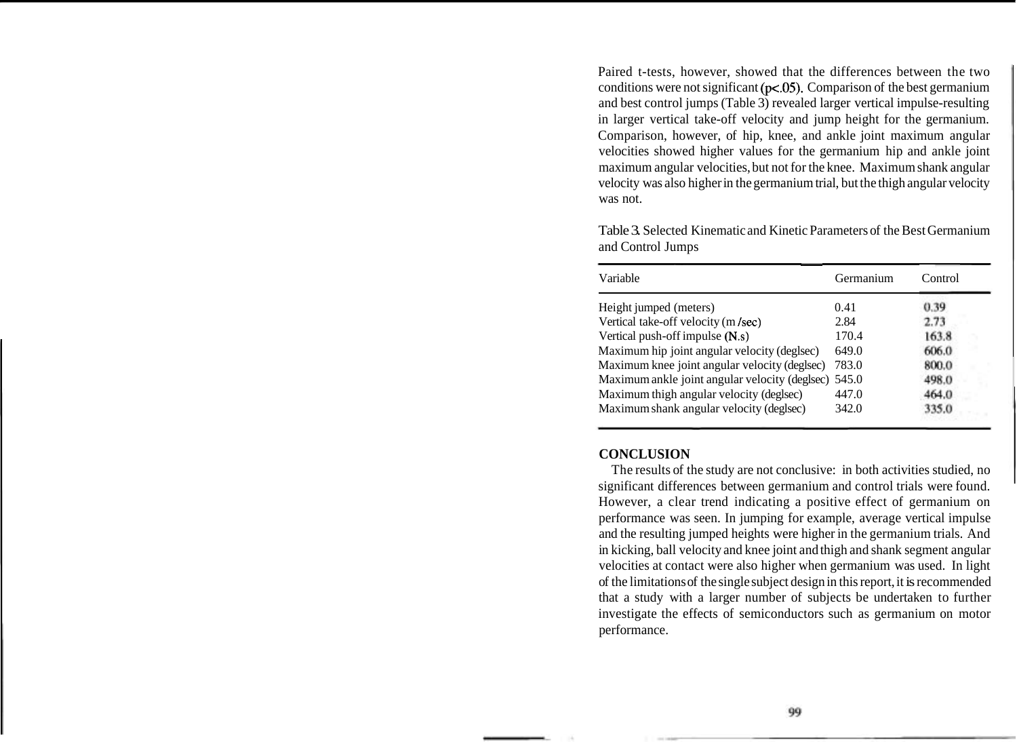Paired t-tests, however, showed that the differences between the two conditions were not significant ( $p < .05$ ). Comparison of the best germanium and best control jumps (Table 3) revealed larger vertical impulse-resulting in larger vertical take-off velocity and jump height for the germanium. Comparison, however, of hip, knee, and ankle joint maximum angular velocities showed higher values for the germanium hip and ankle joint maximum angular velocities, but not for the knee. Maximum shank angular velocity was also higher in the germanium trial, but the thigh angular velocity was not.

| Variable                                             | Germanium | Control |
|------------------------------------------------------|-----------|---------|
| Height jumped (meters)                               | 0.41      | 0.39    |
| Vertical take-off velocity (m/sec)                   | 2.84      | 2.73    |
| Vertical push-off impulse (N.s)                      | 170.4     | 163.8   |
| Maximum hip joint angular velocity (deglsec)         | 649.0     | 606.0   |
| Maximum knee joint angular velocity (deglsec)        | 783.0     | 800.0   |
| Maximum ankle joint angular velocity (deglsec) 545.0 |           | 498.0   |
| Maximum thigh angular velocity (deglsec)             | 447.0     | 464.0   |
| Maximum shank angular velocity (deglsec)             | 342.0     | 335.0   |

Table 3. Selected Kinematic and Kinetic Parameters of the Best Germanium and Control Jumps

## **CONCLUSION**

The results of the study are not conclusive: in both activities studied, no significant differences between germanium and control trials were found. However, a clear trend indicating a positive effect of germanium on performance was seen. In jumping for example, average vertical impulse and the resulting jumped heights were higher in the germanium trials. And in kicking, ball velocity and knee joint and thigh and shank segment angular velocities at contact were also higher when germanium was used. In light of the limitations of the single subject design in this report, it is recommended that a study with a larger number of subjects be undertaken to further investigate the effects of semiconductors such as germanium on motor performance.